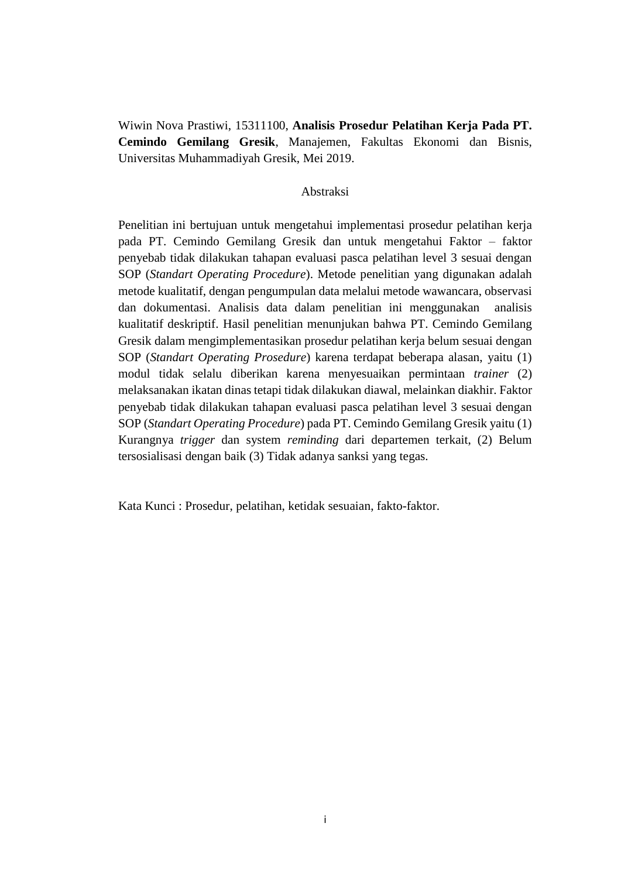Wiwin Nova Prastiwi, 15311100, **Analisis Prosedur Pelatihan Kerja Pada PT. Cemindo Gemilang Gresik**, Manajemen, Fakultas Ekonomi dan Bisnis, Universitas Muhammadiyah Gresik, Mei 2019.

## Abstraksi

Penelitian ini bertujuan untuk mengetahui implementasi prosedur pelatihan kerja pada PT. Cemindo Gemilang Gresik dan untuk mengetahui Faktor – faktor penyebab tidak dilakukan tahapan evaluasi pasca pelatihan level 3 sesuai dengan SOP (*Standart Operating Procedure*). Metode penelitian yang digunakan adalah metode kualitatif, dengan pengumpulan data melalui metode wawancara, observasi dan dokumentasi. Analisis data dalam penelitian ini menggunakan analisis kualitatif deskriptif. Hasil penelitian menunjukan bahwa PT. Cemindo Gemilang Gresik dalam mengimplementasikan prosedur pelatihan kerja belum sesuai dengan SOP (*Standart Operating Prosedure*) karena terdapat beberapa alasan, yaitu (1) modul tidak selalu diberikan karena menyesuaikan permintaan *trainer* (2) melaksanakan ikatan dinas tetapi tidak dilakukan diawal, melainkan diakhir. Faktor penyebab tidak dilakukan tahapan evaluasi pasca pelatihan level 3 sesuai dengan SOP (*Standart Operating Procedure*) pada PT. Cemindo Gemilang Gresik yaitu (1) Kurangnya *trigger* dan system *reminding* dari departemen terkait, (2) Belum tersosialisasi dengan baik (3) Tidak adanya sanksi yang tegas.

Kata Kunci : Prosedur, pelatihan, ketidak sesuaian, fakto-faktor.